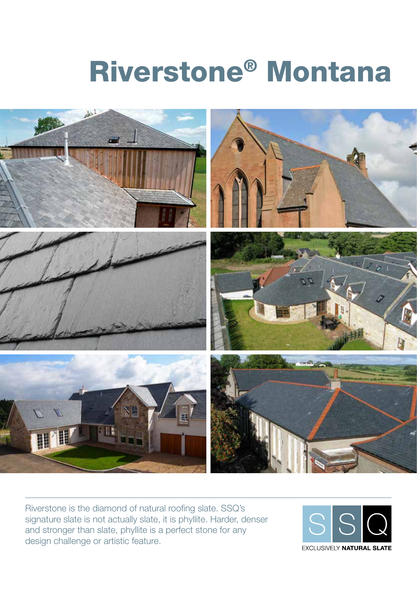# Riverstone® Montana



Riverstone is the diamond of natural roofing slate. SSQ's signature slate is not actually slate, it is phyllite. Harder, denser and stronger than slate, phyllite is a perfect stone for any design challenge or artistic feature.